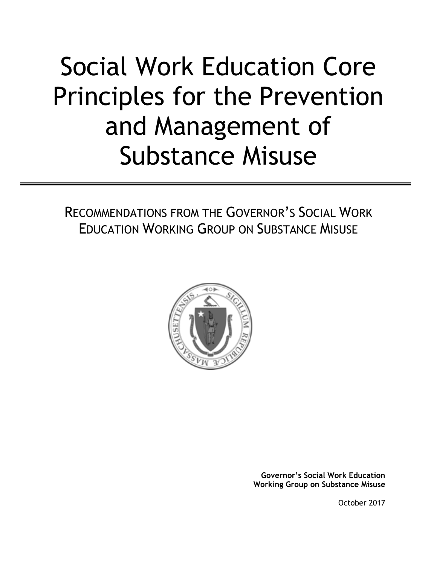# Social Work Education Core Principles for the Prevention and Management of Substance Misuse

RECOMMENDATIONS FROM THE GOVERNOR'S SOCIAL WORK EDUCATION WORKING GROUP ON SUBSTANCE MISUSE



**Governor's Social Work Education Working Group on Substance Misuse**

October 2017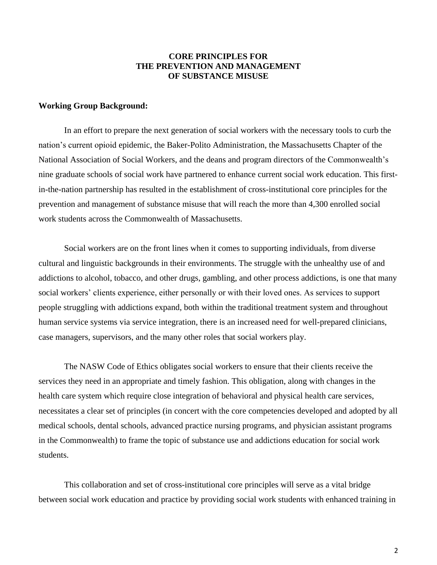## **CORE PRINCIPLES FOR THE PREVENTION AND MANAGEMENT OF SUBSTANCE MISUSE**

#### **Working Group Background:**

In an effort to prepare the next generation of social workers with the necessary tools to curb the nation's current opioid epidemic, the Baker-Polito Administration, the Massachusetts Chapter of the National Association of Social Workers, and the deans and program directors of the Commonwealth's nine graduate schools of social work have partnered to enhance current social work education. This firstin-the-nation partnership has resulted in the establishment of cross-institutional core principles for the prevention and management of substance misuse that will reach the more than 4,300 enrolled social work students across the Commonwealth of Massachusetts.

Social workers are on the front lines when it comes to supporting individuals, from diverse cultural and linguistic backgrounds in their environments. The struggle with the unhealthy use of and addictions to alcohol, tobacco, and other drugs, gambling, and other process addictions, is one that many social workers' clients experience, either personally or with their loved ones. As services to support people struggling with addictions expand, both within the traditional treatment system and throughout human service systems via service integration, there is an increased need for well-prepared clinicians, case managers, supervisors, and the many other roles that social workers play.

The NASW Code of Ethics obligates social workers to ensure that their clients receive the services they need in an appropriate and timely fashion. This obligation, along with changes in the health care system which require close integration of behavioral and physical health care services, necessitates a clear set of principles (in concert with the core competencies developed and adopted by all medical schools, dental schools, advanced practice nursing programs, and physician assistant programs in the Commonwealth) to frame the topic of substance use and addictions education for social work students.

This collaboration and set of cross-institutional core principles will serve as a vital bridge between social work education and practice by providing social work students with enhanced training in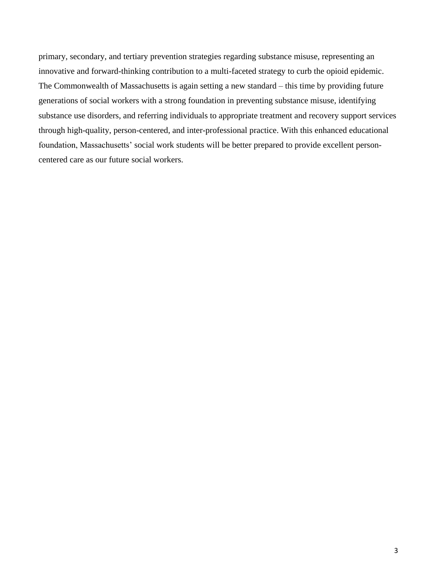primary, secondary, and tertiary prevention strategies regarding substance misuse, representing an innovative and forward-thinking contribution to a multi-faceted strategy to curb the opioid epidemic. The Commonwealth of Massachusetts is again setting a new standard – this time by providing future generations of social workers with a strong foundation in preventing substance misuse, identifying substance use disorders, and referring individuals to appropriate treatment and recovery support services through high-quality, person-centered, and inter-professional practice. With this enhanced educational foundation, Massachusetts' social work students will be better prepared to provide excellent personcentered care as our future social workers.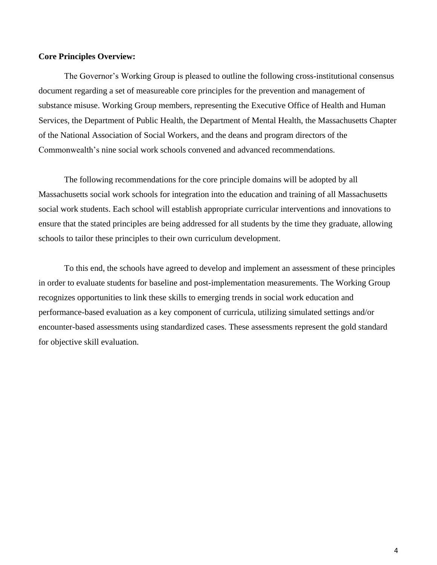#### **Core Principles Overview:**

The Governor's Working Group is pleased to outline the following cross-institutional consensus document regarding a set of measureable core principles for the prevention and management of substance misuse. Working Group members, representing the Executive Office of Health and Human Services, the Department of Public Health, the Department of Mental Health, the Massachusetts Chapter of the National Association of Social Workers, and the deans and program directors of the Commonwealth's nine social work schools convened and advanced recommendations.

The following recommendations for the core principle domains will be adopted by all Massachusetts social work schools for integration into the education and training of all Massachusetts social work students. Each school will establish appropriate curricular interventions and innovations to ensure that the stated principles are being addressed for all students by the time they graduate, allowing schools to tailor these principles to their own curriculum development.

To this end, the schools have agreed to develop and implement an assessment of these principles in order to evaluate students for baseline and post-implementation measurements. The Working Group recognizes opportunities to link these skills to emerging trends in social work education and performance-based evaluation as a key component of curricula, utilizing simulated settings and/or encounter-based assessments using standardized cases. These assessments represent the gold standard for objective skill evaluation.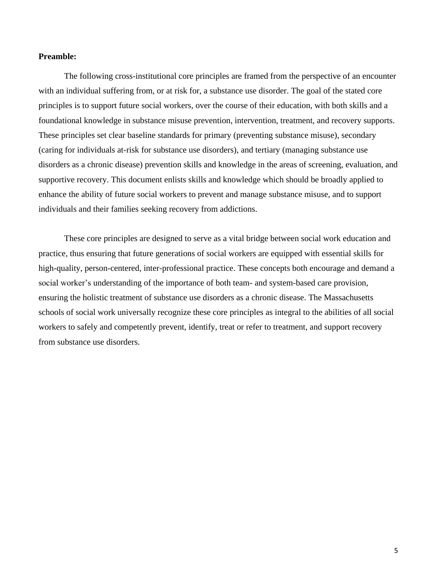#### **Preamble:**

The following cross-institutional core principles are framed from the perspective of an encounter with an individual suffering from, or at risk for, a substance use disorder. The goal of the stated core principles is to support future social workers, over the course of their education, with both skills and a foundational knowledge in substance misuse prevention, intervention, treatment, and recovery supports. These principles set clear baseline standards for primary (preventing substance misuse), secondary (caring for individuals at-risk for substance use disorders), and tertiary (managing substance use disorders as a chronic disease) prevention skills and knowledge in the areas of screening, evaluation, and supportive recovery. This document enlists skills and knowledge which should be broadly applied to enhance the ability of future social workers to prevent and manage substance misuse, and to support individuals and their families seeking recovery from addictions.

These core principles are designed to serve as a vital bridge between social work education and practice, thus ensuring that future generations of social workers are equipped with essential skills for high-quality, person-centered, inter-professional practice. These concepts both encourage and demand a social worker's understanding of the importance of both team- and system-based care provision, ensuring the holistic treatment of substance use disorders as a chronic disease. The Massachusetts schools of social work universally recognize these core principles as integral to the abilities of all social workers to safely and competently prevent, identify, treat or refer to treatment, and support recovery from substance use disorders.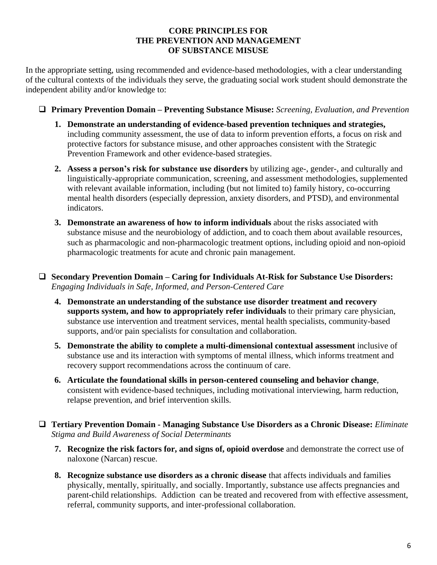## **CORE PRINCIPLES FOR THE PREVENTION AND MANAGEMENT OF SUBSTANCE MISUSE**

In the appropriate setting, using recommended and evidence-based methodologies, with a clear understanding of the cultural contexts of the individuals they serve, the graduating social work student should demonstrate the independent ability and/or knowledge to:

- **Primary Prevention Domain – Preventing Substance Misuse:** *Screening, Evaluation, and Prevention*
	- **1. Demonstrate an understanding of evidence-based prevention techniques and strategies,**  including community assessment, the use of data to inform prevention efforts, a focus on risk and protective factors for substance misuse, and other approaches consistent with the Strategic Prevention Framework and other evidence-based strategies.
	- **2. Assess a person's risk for substance use disorders** by utilizing age-, gender-, and culturally and linguistically-appropriate communication, screening, and assessment methodologies, supplemented with relevant available information, including (but not limited to) family history, co-occurring mental health disorders (especially depression, anxiety disorders, and PTSD), and environmental indicators.
	- **3. Demonstrate an awareness of how to inform individuals** about the risks associated with substance misuse and the neurobiology of addiction, and to coach them about available resources, such as pharmacologic and non-pharmacologic treatment options, including opioid and non-opioid pharmacologic treatments for acute and chronic pain management.
- **Secondary Prevention Domain – Caring for Individuals At-Risk for Substance Use Disorders:** *Engaging Individuals in Safe, Informed, and Person-Centered Care*
	- **4. Demonstrate an understanding of the substance use disorder treatment and recovery supports system, and how to appropriately refer individuals** to their primary care physician, substance use intervention and treatment services, mental health specialists, community-based supports, and/or pain specialists for consultation and collaboration.
	- **5. Demonstrate the ability to complete a multi-dimensional contextual assessment** inclusive of substance use and its interaction with symptoms of mental illness, which informs treatment and recovery support recommendations across the continuum of care.
	- **6. Articulate the foundational skills in person-centered counseling and behavior change**, consistent with evidence-based techniques, including motivational interviewing, harm reduction, relapse prevention, and brief intervention skills.
- **Tertiary Prevention Domain - Managing Substance Use Disorders as a Chronic Disease:** *Eliminate Stigma and Build Awareness of Social Determinants* 
	- **7. Recognize the risk factors for, and signs of, opioid overdose** and demonstrate the correct use of naloxone (Narcan) rescue.
	- **8. Recognize substance use disorders as a chronic disease** that affects individuals and families physically, mentally, spiritually, and socially. Importantly, substance use affects pregnancies and parent-child relationships. Addiction can be treated and recovered from with effective assessment, referral, community supports, and inter-professional collaboration.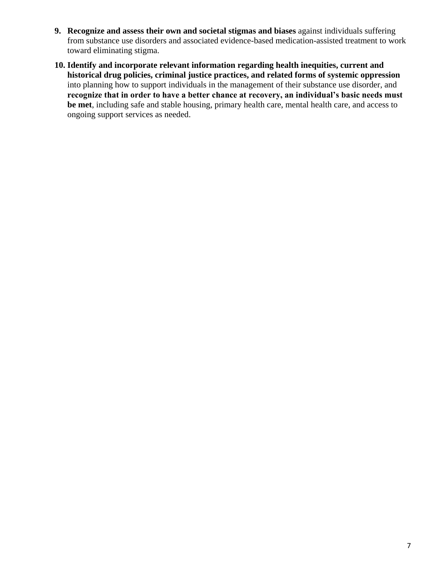- **9. Recognize and assess their own and societal stigmas and biases** against individuals suffering from substance use disorders and associated evidence-based medication-assisted treatment to work toward eliminating stigma.
- **10. Identify and incorporate relevant information regarding health inequities, current and historical drug policies, criminal justice practices, and related forms of systemic oppression** into planning how to support individuals in the management of their substance use disorder, and **recognize that in order to have a better chance at recovery, an individual's basic needs must be met**, including safe and stable housing, primary health care, mental health care, and access to ongoing support services as needed.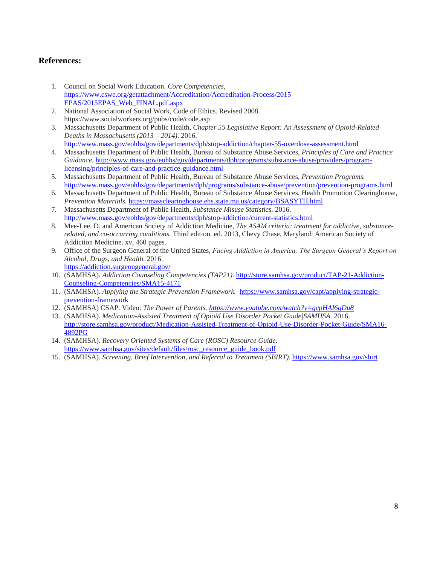## **References:**

- 1. Council on Social Work Education. *Core Competencies,*  [https://www.cswe.org/getattachment/Accreditation/Accreditation-Process/2015](https://www.cswe.org/getattachment/Accreditation/Accreditation-Process/2015%20EPAS/2015EPAS_Web_FINAL.pdf.aspx)  [EPAS/2015EPAS\\_Web\\_FINAL.pdf.aspx](https://www.cswe.org/getattachment/Accreditation/Accreditation-Process/2015%20EPAS/2015EPAS_Web_FINAL.pdf.aspx)
- 2. National Association of Social Work, Code of Ethics. Revised 2008. https://www.socialworkers.org/pubs/code/code.asp
- 3. Massachusetts Department of Public Health, *Chapter 55 Legislative Report: An Assessment of Opioid-Related Deaths in Massachusetts (2013 – 2014)*. 2016. <http://www.mass.gov/eohhs/gov/departments/dph/stop-addiction/chapter-55-overdose-assessment.html>
- 4. Massachusetts Department of Public Health, Bureau of Substance Abuse Services, *Principles of Care and Practice Guidance.* [http://www.mass.gov/eohhs/gov/departments/dph/programs/substance-abuse/providers/program](http://www.mass.gov/eohhs/gov/departments/dph/programs/substance-abuse/providers/program-licensing/principles-of-care-and-practice-guidance.html)[licensing/principles-of-care-and-practice-guidance.html](http://www.mass.gov/eohhs/gov/departments/dph/programs/substance-abuse/providers/program-licensing/principles-of-care-and-practice-guidance.html)
- 5. Massachusetts Department of Public Health, Bureau of Substance Abuse Services, *Prevention Programs.*  <http://www.mass.gov/eohhs/gov/departments/dph/programs/substance-abuse/prevention/prevention-programs.html>
- 6. Massachusetts Department of Public Health, Bureau of Substance Abuse Services, Health Promotion Clearinghouse, *Prevention Materials.* <https://massclearinghouse.ehs.state.ma.us/category/BSASYTH.html>
- 7. Massachusetts Department of Public Health, *Substance Misuse Statistics.* 2016. <http://www.mass.gov/eohhs/gov/departments/dph/stop-addiction/current-statistics.html>
- 8. Mee-Lee, D. and American Society of Addiction Medicine, *The ASAM criteria: treatment for addictive, substancerelated, and co-occurring conditions*. Third edition. ed. 2013, Chevy Chase, Maryland: American Society of Addiction Medicine. xv, 460 pages.
- 9. Office of the Surgeon General of the United States, *Facing Addiction in America: The Surgeon General's Report on Alcohol, Drugs, and Health.* 2016. <https://addiction.surgeongeneral.gov/>
- 10. (SAMHSA). *Addiction Counseling Competencies (TAP21).* [http://store.samhsa.gov/product/TAP-21-Addiction-](http://store.samhsa.gov/product/TAP-21-Addiction-Counseling-Competencies/SMA15-4171)[Counseling-Competencies/SMA15-4171](http://store.samhsa.gov/product/TAP-21-Addiction-Counseling-Competencies/SMA15-4171)
- 11. (SAMHSA). *Applying the Strategic Prevention Framework.* [https://www.samhsa.gov/capt/applying-strategic](https://www.samhsa.gov/capt/applying-strategic-prevention-framework)[prevention-framework](https://www.samhsa.gov/capt/applying-strategic-prevention-framework)
- 12. (SAMHSA) CSAP. Video: *The Power of Parents.<https://www.youtube.com/watch?v=gcpHAI6gDu8>*
- 13. (SAMHSA). *Medication-Assisted Treatment of Opioid Use Disorder Pocket Guide|SAMHSA.* 2016. [http://store.samhsa.gov/product/Medication-Assisted-Treatment-of-Opioid-Use-Disorder-Pocket-Guide/SMA16-](http://store.samhsa.gov/product/Medication-Assisted-Treatment-of-Opioid-Use-Disorder-Pocket-Guide/SMA16-4892PG) [4892PG](http://store.samhsa.gov/product/Medication-Assisted-Treatment-of-Opioid-Use-Disorder-Pocket-Guide/SMA16-4892PG)
- 14. (SAMHSA). *Recovery Oriented Systems of Care (ROSC) Resource Guide*. [https://www.samhsa.gov/sites/default/files/rosc\\_resource\\_guide\\_book.pdf](https://www.samhsa.gov/sites/default/files/rosc_resource_guide_book.pdf)
- 15. (SAMHSA). *Screening, Brief Intervention, and Referral to Treatment (SBIRT)*[. https://www.samhsa.gov/sbirt](https://www.samhsa.gov/sbirt)